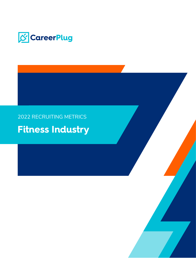

### 2022 RECRUITING METRICS

## **Fitness Industry**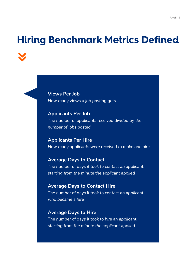## **Hiring Benchmark Metrics Defined**

**Views Per Job**  *How many views a job posting gets*

**Applicants Per Job** *The number of applicants received divided by the number of jobs posted*

**Applicants Per Hire** *How many applicants were received to make one hire* 

**Average Days to Contact** *The number of days it took to contact an applicant, starting from the minute the applicant applied*

**Average Days to Contact Hire** *The number of days it took to contact an applicant who became a hire*

**Average Days to Hire** *The number of days it took to hire an applicant, starting from the minute the applicant applied*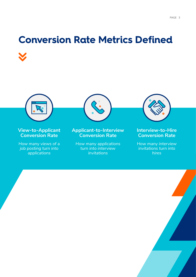# **Conversion Rate Metrics Defined**



#### **View-to-Applicant Conversion Rate**

*How many views of a job posting turn into applications*



#### **Applicant-to-Interview Conversion Rate**

*How many applications turn into interview invitations*



#### **Interview-to-Hire Conversion Rate**

*How many interview invitations turn into hires*

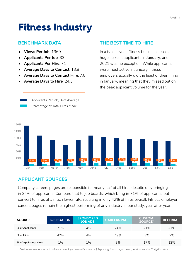## **Fitness Industry**

#### **BENCHMARK DATA THE BEST TIME TO HIRE**

- **• Views Per Job**: 1369
- **• Applicants Per Job**: 33
- **• Applicants Per Hire**: 71
- **• Average Days to Contact**: 13.8
- **• Average Days to Contact Hire**: 7.8

Applicants Per Job, % of Average Percentage of Total Hires Made

**• Average Days to Hire**: 24.3

In a typical year, fitness businesses see a huge spike in applicants in **January**, and 2021 was no exception. While applicants were most active in January, fitness employers actually did the least of their hiring in January, meaning that they missed out on the peak applicant volume for the year.



#### **APPLICANT SOURCES**

Company careers pages are responsible for nearly half of all hires despite only bringing in 24% of applicants. Compare that to job boards, which bring in 71% of applicants, but convert to hires at a much lower rate, resulting in only 42% of hires overall. Fitness employer careers pages remain the highest performing of any industry in our study, year after year.

| <b>SOURCE</b>         | <b>JOB BOARDS</b> | <b>SPONSORED</b><br><b>JOB ADS</b> | <b>CAREERS PAGE</b> | <b>CUSTOM</b><br><b>SOURCE*</b> | <b>REFERRAL</b> |
|-----------------------|-------------------|------------------------------------|---------------------|---------------------------------|-----------------|
| % of Applicants       | 71%               | 4%                                 | 24%                 | $<1\%$                          | $< 1\%$         |
| % of Hires            | 42%               | 4%                                 | 49%                 | 3%                              | 2%              |
| % of Applicants Hired | $1\%$             | 1%                                 | 3%                  | 17%                             | 12%             |

*\*Custom source: A source to which an employer manually shared a job posting (industry job board, local university, Craigslist, etc.)*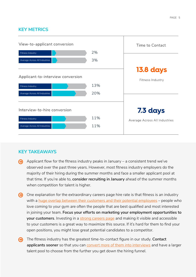#### **KEY METRICS**



#### **KEY TAKEAWAYS**

- Applicant flow for the fitness industry peaks in January a consistent trend we've observed over the past three years. However, most fitness industry employers do the majority of their hiring during the summer months and face a smaller applicant pool at that time. If you're able to, **consider recruiting in January** ahead of the summer months when competition for talent is higher.
- One explanation for the extraordinary careers page hire rate is that fitness is an industry with a [huge overlap between their customers and their potential employees](https://www.careerplug.com/blog/health-and-fitness-recruitment-webinar/) – people who love coming to your gym are often the people that are best qualified and most interested in joining your team. **Focus your efforts on marketing your employment opportunities to your customers**. Investing in a [strong careers page](https://www.careerplug.com/blog/careers-page/) and making it visible and accessible to your customers is a great way to maximize this source. If it's hard for them to find your open positions, you might lose great potential candidates to a competitor.
- The fitness industry has the greatest time-to-contact figure in our study. **Contact**  ⊕ applicants sooner so that you can [convert more of them into interviews](https://www.careerplug.com/interview-scheduling/) and have a larger talent pool to choose from the further you get down the hiring funnel.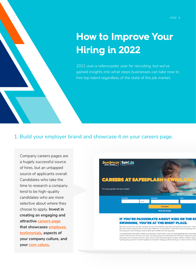## **How to Improve Your Hiring in 2022**

2021 was a rollercoaster year for recruiting, but we've gained insights into what steps businesses can take now to hire top talent regardless of the state of the job market.

1. Build your employer brand and showcase it on your careers page.

Company careers pages are a hugely successful source of hires, but an untapped source of applicants overall. Candidates who take the time to research a company tend to be high-quality candidates who are more selective about where they choose to apply. **Invest in creating an engaging and attractive [careers page](https://www.careerplug.com/blog/5-company-culture-elements-you-need-on-a-careers-page/) that showcases [employee](https://www.careerplug.com/blog/6-employee-testimonials-that-boost-careers-pages/)  [testimonials,](https://www.careerplug.com/blog/6-employee-testimonials-that-boost-careers-pages/) aspects of your company culture, and your [core values](https://www.careerplug.com/blog/how-to-write-core-values/).** 



#### **IF YOU'RE PASSIONATE ABOUT KIDS OR THE SI SWIMMING, YOU'RE AT THE RIGHT PLACE.**

.<br>We help our swimmers be safer, compete smarter, feel confident, and enjoy a life-long love of the sport. There<br>where you find the opportunity to truly make a difference. At Safe-Splash + SwimLabs, we do it every day! Not life-saving skill, we're instilling a sense of pride and confidence in kids every day

Love working with kids? Want to wear your flip-flops to work? Want to join the fastest growing swim school bra<br>hadion? Then we want YOUI We are actively recruiting professional individuals who will help us uphold the best<br>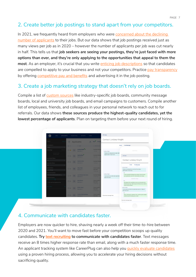#### PAGE 7

#### 2. Create better job postings to stand apart from your competitors.

In 2021, we frequently heard from employers who were [concerned about the declining](https://www.careerplug.com/blog/how-to-hire-without-many-applicants/)  [number of applicants](https://www.careerplug.com/blog/how-to-hire-without-many-applicants/) to their jobs. But our data shows that job postings received just as many views per job as in 2020 – however the number of applicants per job was cut nearly in half. This tells us that **job seekers are seeing your postings, they're just faced with more options than ever, and they're only applying to the opportunities that appeal to them the most**. As an employer, it's crucial that you write [enticing job descriptions](https://www.careerplug.com/blog/job-description-template/) so that candidates are compelled to apply to your business and not your competitors. Practice [pay transparency](https://www.careerplug.com/blog/benefits-of-pay-transparency/) by offering [competitive pay and benefits](https://www.careerplug.com/blog/2022-hourly-workers-compensation-expectations-report/) and advertising it in the job posting.

#### 3. Create a job marketing strategy that doesn't rely on job boards.

Compile a list of [custom sources](https://www.careerplug.com/blog/best-untapped-candidate-sources/) like industry-specific job boards, community message boards, local and university job boards, and email campaigns to customers. Compile another list of employees, friends, and colleagues in your personal network to reach out to for referrals. Our data shows **these sources produce the highest-quality candidates, yet the lowest percentage of applicants**. Plan on targeting them before your next round of hiring.



#### 4. Communicate with candidates faster.

Employers are now quicker to hire, shaving nearly a week off their time-to-hire between 2020 and 2021. You'll want to move fast before your competition scoops up quality candidates. **Try [text recruiting](https://www.careerplug.com/text-recruiting-software/) to communicate with candidates faster**. Text messages receive an 8 times higher response rate than email, along with a much faster response time. An applicant tracking system like CareerPlug can also help you [quickly evaluate candidates](https://www.careerplug.com/applicant-screening-software/) using a proven hiring process, allowing you to accelerate your hiring decisions without sacrificing quality.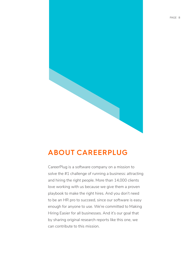

#### **ABOUT CAREERPLUG**

CareerPlug is a software company on a mission to solve the #1 challenge of running a business: attracting and hiring the right people. More than 14,000 clients love working with us because we give them a proven playbook to make the right hires. And you don't need to be an HR pro to succeed, since our software is easy enough for anyone to use. We're committed to Making Hiring Easier for all businesses. And it's our goal that by sharing original research reports like this one, we can contribute to this mission.